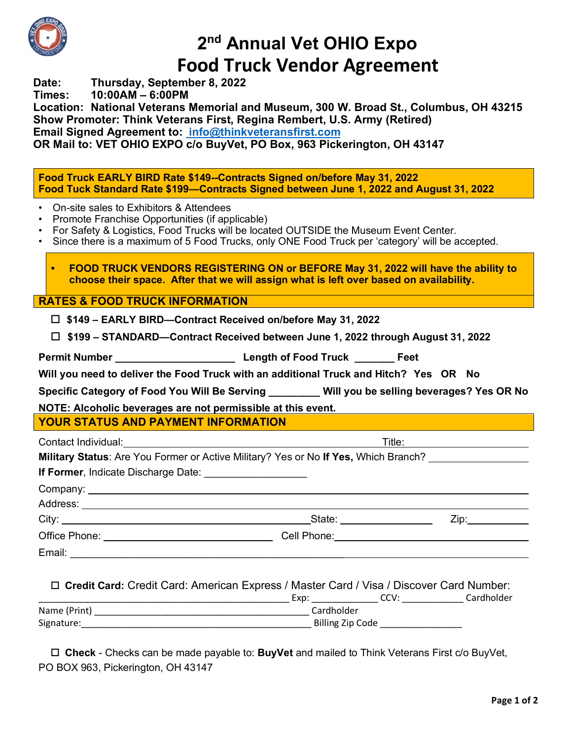

# **2nd Annual Vet OHIO Expo Food Truck Vendor Agreement**

**Date: Thursday, September 8, 2022**

**Times: 10:00AM – 6:00PM**

**Location: National Veterans Memorial and Museum, 300 W. Broad St., Columbus, OH 43215 Show Promoter: Think Veterans First, Regina Rembert, U.S. Army (Retired) Email Signed Agreement to: info@thinkveteransfirst.com OR Mail to: VET OHIO EXPO c/o BuyVet, PO Box, 963 Pickerington, OH 43147**

**Food Truck EARLY BIRD Rate \$149--Contracts Signed on/before May 31, 2022 Food Tuck Standard Rate \$199—Contracts Signed between June 1, 2022 and August 31, 2022**

- On-site sales to Exhibitors & Attendees
- Promote Franchise Opportunities (if applicable)
- For Safety & Logistics, Food Trucks will be located OUTSIDE the Museum Event Center.
- Since there is a maximum of 5 Food Trucks, only ONE Food Truck per 'category' will be accepted.

**• FOOD TRUCK VENDORS REGISTERING ON or BEFORE May 31, 2022 will have the ability to choose their space. After that we will assign what is left over based on availability.** 

**RATES & FOOD TRUCK INFORMATION**

- o **\$149 – EARLY BIRD—Contract Received on/before May 31, 2022**
- o **\$199 – STANDARD—Contract Received between June 1, 2022 through August 31, 2022**

**Permit Number \_\_\_\_\_\_\_\_\_\_\_\_\_\_\_\_\_\_\_\_\_ Length of Food Truck \_\_\_\_\_\_\_ Feet** 

**Will you need to deliver the Food Truck with an additional Truck and Hitch? Yes OR No**

**Specific Category of Food You Will Be Serving \_\_\_\_\_\_\_\_\_ Will you be selling beverages? Yes OR No**

**NOTE: Alcoholic beverages are not permissible at this event.** 

### **YOUR STATUS AND PAYMENT INFORMATION**

| Contact Individual:                                                                 | Title: |
|-------------------------------------------------------------------------------------|--------|
| Military Status: Are You Former or Active Military? Yes or No If Yes, Which Branch? |        |
| <b>If Former, Indicate Discharge Date:</b>                                          |        |
| Company:                                                                            |        |

Address: City: State: Zip: Office Phone: <u>Call Phone:</u> Cell Phone: Cell Phone: Email: \_\_\_\_\_\_\_\_\_\_\_\_\_\_\_\_\_\_\_\_\_\_\_\_\_\_\_\_\_\_\_\_\_\_\_\_\_\_\_\_\_\_\_\_\_\_\_\_

|  |  | □ Credit Card: Credit Card: American Express / Master Card / Visa / Discover Card Number: |
|--|--|-------------------------------------------------------------------------------------------|
|  |  |                                                                                           |

|              | Exp        | いしい              | Cardholder |  |  |
|--------------|------------|------------------|------------|--|--|
| Name (Print) | Cardholder |                  |            |  |  |
| Signature:   |            | Billing Zip Code |            |  |  |

□ Check - Checks can be made payable to: **BuyVet** and mailed to Think Veterans First c/o BuyVet, PO BOX 963, Pickerington, OH 43147